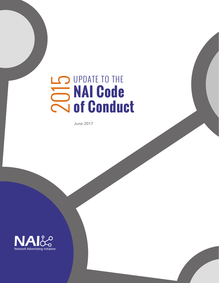# UPDATE TO THE **NAI Code**  2015 **of Conduct**

June 2017

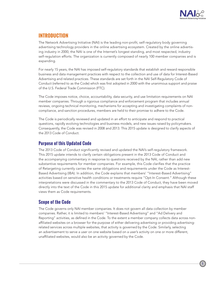

# **INTRODUCTION**

The Network Advertising Initiative (NAI) is the leading non-profit, self-regulatory body governing advertising technology providers in the online advertising ecosystem. Created by the online advertising industry in 2000, the NAI is one of the Internet's longest standing, and most respected, industry self-regulation efforts. The organization is currently composed of nearly 100 member companies and is expanding.

For nearly 15 years, the NAI has imposed self-regulatory standards that establish and reward responsible business and data management practices with respect to the collection and use of data for Interest-Based Advertising and related practices. These standards are set forth in the NAI Self-Regulatory Code of Conduct (referred to as the Code) which was first adopted in 2000 with the unanimous support and praise of the U.S. Federal Trade Commission (FTC).

The Code imposes notice, choice, accountability, data security, and use limitation requirements on NAI member companies. Through a rigorous compliance and enforcement program that includes annual reviews, ongoing technical monitoring, mechanisms for accepting and investigating complaints of noncompliance, and sanction procedures, members are held to their promise to adhere to the Code.

The Code is periodically reviewed and updated in an effort to anticipate and respond to practical questions, rapidly evolving technologies and business models, and new issues raised by policymakers. Consequently, the Code was revised in 2008 and 2013. This 2015 update is designed to clarify aspects of the 2013 Code of Conduct.

# **Purpose of this Updated Code**

The 2013 Code of Conduct significantly revised and updated the NAI's self-regulatory framework. This 2015 update intends to clarify certain obligations present in the 2013 Code of Conduct and the accompanying commentary in response to questions received by the NAI, rather than add new substantive requirements for member companies. For example, this Code clarifies that the practice of Retargeting currently carries the same obligations and requirements under the Code as Interest-Based Advertising (IBA). In addition, the Code explains that members' "Interest-Based Advertising" activities based on sensitive health conditions or treatments require "Opt-In Consent." Although these interpretations were discussed in the commentary to the 2013 Code of Conduct, they have been moved directly into the text of the Code in this 2015 update for additional clarity and emphasis that NAI staff views them as Code requirements.

# **Scope of the Code**

The Code governs only NAI member companies. It does not govern all data collection by member companies. Rather, it is limited to members' "Interest-Based Advertising" and "Ad Delivery and Reporting" activities, as defined in the Code. To the extent a member company collects data across nonaffiliated websites on a browser for the purpose of either delivering advertising or providing advertisingrelated services across multiple websites, that activity is governed by the Code. Similarly, selecting an advertisement to serve a user on one website based on a user's activity on one or more different, unaffiliated websites, would also be an activity governed by the Code.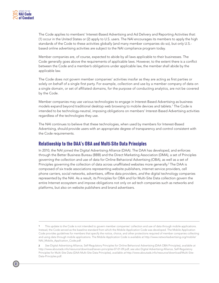

The Code applies to members' Interest-Based Advertising and Ad Delivery and Reporting Activities that: (1) occur in the United States or (2) apply to U.S. users. The NAI encourages its members to apply the high standards of the Code to these activities globally (and many member companies do so), but only U.S. based online advertising activities are subject to the NAI compliance program today.

Member companies are, of course, expected to abide by all laws applicable to their businesses. The Code generally goes above the requirements of applicable laws. However, to the extent there is a conflict between the Code and a member's obligations under applicable law, the member shall abide by the applicable law.

The Code does *not* govern member companies' activities insofar as they are acting as first parties or solely on behalf of a single first party. For example, collection and use by a member company of data on a single domain, or set of affiliated domains, for the purpose of conducting analytics, are not be covered by the Code.

Member companies may use various technologies to engage in Interest-Based Advertising as business models expand beyond traditional desktop web browsing to mobile devices and tablets.1 The Code is intended to be technology-neutral, imposing obligations on members' Interest-Based Advertising activities regardless of the technologies they use.

The NAI continues to believe that these technologies, when used by members for Interest-Based Advertising, should provide users with an appropriate degree of transparency and control consistent with the Code requirements.

# **Relationship to the DAA's OBA and Multi-Site Data Principles**

In 2010, the NAI joined the Digital Advertising Alliance (DAA). The DAA has developed, and enforces through the Better Business Bureau (BBB) and the Direct Marketing Association (DMA), a set of Principles governing the collection and use of data for Online Behavioral Advertising (OBA), as well as a set of Principles governing the collection of data across unaffiliated websites more generally.<sup>2</sup> The DAA is composed of six trade associations representing website publishers, internet service providers, cell phone carriers, social networks, advertisers, offline data providers, *and* the digital technology companies represented by the NAI. As a result, its Principles for OBA and for Multi-Site Data collection govern the entire Internet ecosystem and impose obligations not only on ad tech companies such as networks and platforms, but also on website publishers and brand advertisers.

This update to the Code is not intended to govern member companies' collection and use of data through mobile applications. Instead, the Code served as the baseline standard from which the Mobile Application Code was developed. The Mobile Application Code provides guidelines for members that specify the notice, choice, and other protections required of member companies collecting and using data through mobile applications. The Mobile Application Code is available at [http://www.networkadvertising.org/mobile/](http://www.networkadvertising.org/mobile/NAI_Mobile_Application_Code.pdf) [NAI\\_Mobile\\_Application\\_Code.pdf.](http://www.networkadvertising.org/mobile/NAI_Mobile_Application_Code.pdf)

<sup>2</sup> *See* Digital Advertising Alliance, Self-Regulatory Principles for Online Behavioral Advertising (DAA OBA Principles), available *at*  <http://www.aboutads.info/resource/download/seven-principles-07-01-09.pdf>; *see also* Digital Advertising Alliance, Self-Regulatory Principles for Multi-Site Data (DAA Multi-Site Data Principles), available *at* [http://www.aboutads.info/resource/download/Multi-Site-](http://www.aboutads.info/resource/download/Multi-Site-Data-Principles.pdf)[Data-Principles.pdf.](http://www.aboutads.info/resource/download/Multi-Site-Data-Principles.pdf)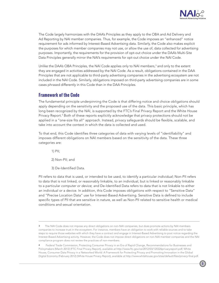

The Code largely harmonizes with the DAA's Principles as they apply to the OBA and Ad Delivery and Ad Reporting by NAI member companies. Thus, for example, the Code imposes an "enhanced" notice requirement for ads informed by Interest-Based Advertising data. Similarly, the Code also makes explicit the purposes for which member companies may not use, or allow the use of, data collected for advertising purposes. Importantly, the requirements for the provision of opt-out choice under the DAA's Multi-Site Data Principles generally mirror the NAI's requirements for opt-out choice under the NAI Code.

Unlike the DAA's OBA Principles, the NAI Code applies only to NAI members, $^3$  and only to the extent they are engaged in activities addressed by the NAI Code. As a result, obligations contained in the DAA Principles that are not applicable to third-party advertising companies in the advertising ecosystem are not included in the NAI Code. Similarly, obligations imposed on third-party advertising companies are in some cases phrased differently in this Code than in the DAA Principles.

# **Framework of the Code**

The fundamental principle underpinning the Code is that differing notice and choice obligations should apply depending on the sensitivity and the proposed use of the data. This basic principle, which has long been recognized by the NAI, is supported by the FTC's Final Privacy Report and the White House Privacy Report.<sup>4</sup> Both of these reports explicitly acknowledge that privacy protections should not be applied in a "one-size fits all" approach. Instead, privacy safeguards should be flexible, scalable, and take into account the context in which the data is collected and used.

To that end, this Code identifies three categories of data with varying levels of "identifiability" and imposes different obligations on NAI members based on the sensitivity of the data. These three categories are:

1) PII;

2) Non-PII; and

3) De-Identified Data.

PII refers to data that is used, or intended to be used, to identify a particular *individual*; Non-PII refers to data that is not linked, or reasonably linkable, to an individual, but is linked or reasonably linkable to a particular *computer or device*; and De-Identified Data refers to data that is not linkable to either an individual or a device. In addition, this Code imposes obligations with respect to "Sensitive Data" and "Precise Location Data" use for Interest-Based Advertising. Sensitive Data is defined to include specific types of PII that are sensitive in nature, as well as Non-PII related to sensitive health or medical conditions and sexual orientation.

<sup>3</sup> The NAI Code does not impose any direct obligations on non-NAI companies, but does promote actions by NAI members companies to increase trust in the ecosystem. For instance, members have an obligation to work with reliable sources and to take steps to require those websites with which they have a contract and engage in Interest-Based Advertising to post notice regarding the Interest-Based Advertising activity. However, the Code does not impose direct obligations on non-NAI member companies and the NAI compliance program does not review the practices of non-members.

<sup>4</sup> Federal Trade Commission, Protecting Consumer Privacy in an Era of Rapid Change, Recommendations for Businesses and Policymakers (March 2012) (FTC Final Privacy Report), available *at* [http://www.ftc.gov/os/2012/03/120326privacyreport.pdf;](http://www.ftc.gov/os/2012/03/120326privacyreport.pdf) White House, Consumer Data Privacy in a Networked World: A Framework for Protecting Privacy and Promoting Innovation in the Global Digital Economy (February 2012) (White House Privacy Report), available *at* [http://www.whitehouse.gov/sites/default/files/privacy-final.pdf.](http://www.whitehouse.gov/sites/default/files/privacy-final.pdf)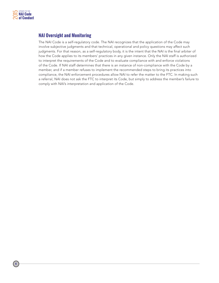

# **NAI Oversight and Monitoring**

The NAI Code is a self-regulatory code. The NAI recognizes that the application of the Code may involve subjective judgments and that technical, operational and policy questions may affect such judgments. For that reason, as a self-regulatory body, it is the intent that the NAI is the final arbiter of how the Code applies to its members' practices in any given instance. Only the NAI staff is authorized to interpret the requirements of the Code and to evaluate compliance with and enforce violations of the Code. If NAI staff determines that there is an instance of non-compliance with the Code by a member, and if a member refuses to implement the recommended steps to bring its practices into compliance, the NAI enforcement procedures allow NAI to refer the matter to the FTC. In making such a referral, NAI does not ask the FTC to interpret its Code, but simply to address the member's failure to comply with NAI's interpretation and application of the Code.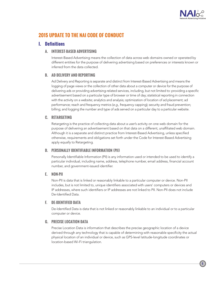

# **2015 UPDATE TO THE NAI CODE OF CONDUCT**

# **I. Definitions**

# **A. INTEREST-BASED ADVERTISING**

Interest-Based Advertising means the collection of data across web domains owned or operated by different entities for the purpose of delivering advertising based on preferences or interests known or inferred from the data collected.

# **B. AD DELIVERY AND REPORTING**

Ad Delivery and Reporting is separate and distinct from Interest-Based Advertising and means the logging of page views or the collection of other data about a computer or device for the purpose of delivering ads or providing advertising-related services, including, but not limited to: providing a specific advertisement based on a particular type of browser or time of day; statistical reporting in connection with the activity on a website; analytics and analysis; optimization of location of ad placement; ad performance; reach and frequency metrics (*e.g.,* frequency capping); security and fraud prevention; billing; and logging the number and type of ads served on a particular day to a particular website.

# **C. RETARGETING**

Retargeting is the practice of collecting data about a user's activity on one web domain for the purpose of delivering an advertisement based on that data on a different, unaffiliated web domain. Although it is a separate and distinct practice from Interest-Based Advertising, unless specified otherwise, requirements and obligations set forth under the Code for Interest-Based Advertising apply equally to Retargeting.

# **D. PERSONALLY IDENTIFIABLE INFORMATION (PII)**

Personally Identifiable Information (PII) is any information used or intended to be used to identify a particular individual, including name, address, telephone number, email address, financial account number, and government-issued identifier.

# **E. NON-PII**

Non-PII is data that is linked or reasonably linkable to a particular computer or device. Non-PII includes, but is not limited to, unique identifiers associated with users' computers or devices and IP addresses, where such identifiers or IP addresses are not linked to PII. Non-PII does not include De-Identified Data.

# **F. DE-IDENTIFIED DATA**

De-Identified Data is data that is not linked or reasonably linkable to an individual or to a particular computer or device.

# **G. PRECISE LOCATION DATA**

Precise Location Data is information that describes the precise geographic location of a device derived through any technology that is capable of determining with reasonable specificity the actual physical location of an individual or device, such as GPS-level latitude-longitude coordinates or location-based Wi-Fi triangulation.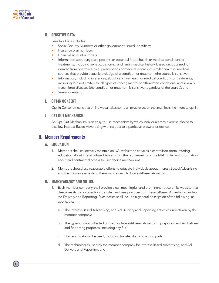

### **H. SENSITIVE DATA**

Sensitive Data includes:

- Social Security Numbers or other government-issued identifiers;
- Insurance plan numbers;
- Financial account numbers;
- Information about any past, present, or potential future health or medical conditions or treatments, including genetic, genomic, and family medical history, based on, obtained, or derived from pharmaceutical prescriptions or medical records, or similar health or medical sources that provide actual knowledge of a condition or treatment (the source is sensitive);
- Information, including inferences, about sensitive health or medical conditions or treatments, including, but not limited to, all types of cancer, mental health-related conditions, and sexually transmitted diseases (the condition or treatment is sensitive regardless of the source); and
- Sexual orientation.

### **I. OPT-IN CONSENT**

Opt-In Consent means that an individual takes some affirmative action that manifests the intent to opt in.

### **J. OPT-OUT MECHANISM**

An Opt-Out Mechanism is an easy-to-use mechanism by which individuals may exercise choice to disallow Interest-Based Advertising with respect to a particular browser or device.

# **II. Member Requirements**

### **A. EDUCATION**

- 1. Members shall collectively maintain an NAI website to serve as a centralized portal offering education about Interest-Based Advertising, the requirements of the NAI Code, and information about and centralized access to user choice mechanisms.
- 2. Members should use reasonable efforts to educate individuals about Interest-Based Advertising and the choices available to them with respect to Interest-Based Advertising.

### **B. TRANSPARENCY AND NOTICE**

- 1. Each member company shall provide clear, meaningful, and prominent notice on its website that describes its data collection, transfer, and use practices for Interest-Based Advertising and/or Ad Delivery and Reporting. Such notice shall include a general description of the following, as applicable:
	- a. The Interest-Based Advertising, and Ad Delivery and Reporting activities undertaken by the member company;
	- b. The types of data collected or used for Interest-Based Advertising purposes, and Ad Delivery and Reporting purposes, including any PII;
	- c. How such data will be used, including transfer, if any, to a third party;
	- d. The technologies used by the member company for Interest-Based Advertising, and Ad Delivery and Reporting; and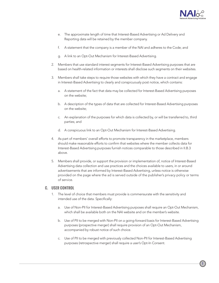

- e. The approximate length of time that Interest-Based Advertising or Ad Delivery and Reporting data will be retained by the member company.
- f. A statement that the company is a member of the NAI and adheres to the Code; and
- g. A link to an Opt-Out Mechanism for Interest-Based Advertising.
- 2. Members that use standard interest segments for Interest-Based Advertising purposes that are based on health-related information or interests shall disclose such segments on their websites.
- 3. Members shall take steps to require those websites with which they have a contract and engage in Interest-Based Advertising to clearly and conspicuously post notice, which contains:
	- a. A statement of the fact that data may be collected for Interest-Based Advertising purposes on the website;
	- b. A description of the types of data that are collected for Interest-Based Advertising purposes on the website;
	- c. An explanation of the purposes for which data is collected by, or will be transferred to, third parties; and
	- d. A conspicuous link to an Opt-Out Mechanism for Interest-Based Advertising.
- 4. As part of members' overall efforts to promote transparency in the marketplace, members should make reasonable efforts to confirm that websites where the member collects data for Interest-Based Advertising purposes furnish notices comparable to those described in II.B.3 above.
- 5. Members shall provide, or support the provision or implementation of, notice of Interest-Based Advertising data collection and use practices and the choices available to users, in or around advertisements that are informed by Interest-Based Advertising, unless notice is otherwise provided on the page where the ad is served outside of the publisher's privacy policy or terms of service.

### **C. USER CONTROL**

- 1. The level of choice that members must provide is commensurate with the sensitivity and intended use of the data. Specifically:
	- a. Use of Non-PII for Interest-Based Advertising purposes shall require an Opt-Out Mechanism, which shall be available both on the NAI website and on the member's website.
	- b. Use of PII to be merged with Non-PII on a going-forward basis for Interest-Based Advertising purposes (prospective merger) shall require provision of an Opt-Out Mechanism, accompanied by robust notice of such choice.
	- c. Use of PII to be merged with previously collected Non-PII for Interest-Based Advertising purposes (retrospective merger) shall require a user's Opt-In Consent.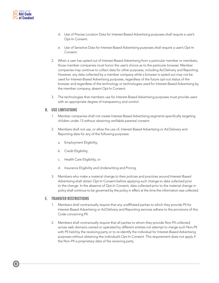- d. Use of Precise Location Data for Interest-Based Advertising purposes shall require a user's Opt-In Consent.
- e. Use of Sensitive Data for Interest-Based Advertising purposes shall require a user's Opt-In Consent.
- 2. When a user has opted out of Interest-Based Advertising from a particular member or members, those member companies must honor the user's choice as to the particular browser. Member companies may continue to collect data for other purposes, including Ad Delivery and Reporting. However, any data collected by a member company while a browser is opted out may not be used for Interest-Based Advertising purposes, regardless of the future opt-out status of the browser and regardless of the technology or technologies used for Interest-Based Advertising by the member company, absent Opt-In Consent.
- 3. The technologies that members use for Interest-Based Advertising purposes must provide users with an appropriate degree of transparency and control.

### **D. USE LIMITATIONS**

- 1. Member companies shall not create Interest-Based Advertising segments specifically targeting children under 13 without obtaining verifiable parental consent.
- 2. Members shall not use, or allow the use of, Interest-Based Advertising or Ad Delivery and Reporting data for any of the following purposes:
	- a. Employment Eligibility;
	- b. Credit Eligibility;
	- c. Health Care Eligibility; or
	- d. Insurance Eligibility and Underwriting and Pricing.
- 3. Members who make a material change to their policies and practices around Interest-Based Advertising shall obtain Opt-In Consent before applying such change to data collected prior to the change. In the absence of Opt-In Consent, data collected prior to the material change in policy shall continue to be governed by the policy in effect at the time the information was collected.

### **E. TRANSFER RESTRICTIONS**

- 1. Members shall contractually require that any unaffiliated parties to which they provide PII for Interest-Based Advertising or Ad Delivery and Reporting services adhere to the provisions of this Code concerning PII.
- 2. Members shall contractually require that all parties to whom they provide Non-PII collected across web domains owned or operated by different entities not attempt to merge such Non-PII with PII held by the receiving party or to re-identify the individual for Interest-Based Advertising purposes without obtaining the individual's Opt-In Consent. This requirement does not apply if the Non-PII is proprietary data of the receiving party.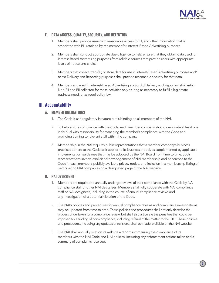

# **F. DATA ACCESS, QUALITY, SECURITY, AND RETENTION**

- 1. Members shall provide users with reasonable access to PII, and other information that is associated with PII, retained by the member for Interest-Based Advertising purposes.
- 2. Members shall conduct appropriate due diligence to help ensure that they obtain data used for Interest-Based Advertising purposes from reliable sources that provide users with appropriate levels of notice and choice.
- 3. Members that collect, transfer, or store data for use in Interest-Based Advertising purposes and/ or Ad Delivery and Reporting purposes shall provide reasonable security for that data.
- 4. Members engaged in Interest-Based Advertising and/or Ad Delivery and Reporting shall retain Non-PII and PII collected for these activities only as long as necessary to fulfill a legitimate business need, or as required by law.

# **III. Accountability**

### **A. MEMBER OBLIGATIONS**

- 1. The Code is self-regulatory in nature but is binding on all members of the NAI.
- 2. To help ensure compliance with the Code, each member company should designate at least one individual with responsibility for managing the member's compliance with the Code and providing training to relevant staff within the company.
- 3. Membership in the NAI requires public representations that a member company's business practices adhere to the Code as it applies to its business model, as supplemented by applicable implementation guidelines that may be adopted by the NAI Board from time to time. Such representations involve explicit acknowledgement of NAI membership and adherence to the Code in each member's publicly available privacy notice, and inclusion in a membership listing of participating NAI companies on a designated page of the NAI website.

# **B. NAI OVERSIGHT**

- 1. Members are required to annually undergo reviews of their compliance with the Code by NAI compliance staff or other NAI designees. Members shall fully cooperate with NAI compliance staff or NAI designees, including in the course of annual compliance reviews and any investigation of a potential violation of the Code.
- 2. The NAI's policies and procedures for annual compliance reviews and compliance investigations may be updated from time to time. These policies and procedures shall not only describe the process undertaken for a compliance review, but shall also articulate the penalties that could be imposed for a finding of non-compliance, including referral of the matter to the FTC. These policies and procedures, including any updates or revisions, shall be made available on the NAI website.
- 3. The NAI shall annually post on its website a report summarizing the compliance of its members with the NAI Code and NAI policies, including any enforcement actions taken and a summary of complaints received.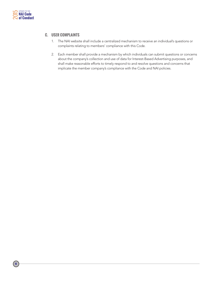

### **C. USER COMPLAINTS**

- 1. The NAI website shall include a centralized mechanism to receive an individual's questions or complaints relating to members' compliance with this Code.
- 2. Each member shall provide a mechanism by which individuals can submit questions or concerns about the company's collection and use of data for Interest-Based Advertising purposes, and shall make reasonable efforts to timely respond to and resolve questions and concerns that implicate the member company's compliance with the Code and NAI policies.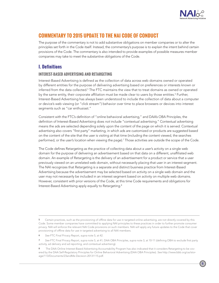

# **COMMENTARY TO 2015 UPDATE TO THE NAI CODE OF CONDUCT**

The purpose of the commentary is not to add substantive obligations on member companies or to alter the principles set forth in the Code itself. Instead, the commentary's purpose is to explain the intent behind certain provisions of the Code. The commentary is also intended to provide examples of possible measures member companies may take to meet the substantive obligations of the Code.

# **I. Definitions**

# **INTEREST-BASED ADVERTISING AND RETARGETING**

Interest-Based Advertising is defined as the collection of data across web domains owned or operated by different entities for the purpose of delivering advertising based on preferences or interests known or inferred from the data collected. $5$  The FTC maintains the view that to treat domains as owned or operated by the same entity, their corporate affiliation must be made clear to users by those entities.<sup>6</sup> Further, Interest-Based Advertising has always been understood to include the collection of data about a computer or device's web viewing (or "click stream") behavior over time to place browsers or devices into interest segments such as "car enthusiast."

Consistent with the FTC's definition of "online behavioral advertising," and DAA's OBA Principles, the definition of Interest-Based Advertising does *not* include "contextual advertising." Contextual advertising means the ads are selected depending solely upon the content of the page on which it is served. Contextual advertising also covers "first party" marketing, in which ads are customized or products are suggested based on the content of the site that the user is visiting at that time (including the content viewed, the searches performed, or the user's location when viewing the page).<sup>7</sup> Those activities are outside the scope of the Code.

The Code defines Retargeting as the practice of collecting data about a user's activity on a single web domain for the purpose of delivering an advertisement based on that data on a different, unaffiliated web domain. An example of Retargeting is the delivery of an advertisement for a product or service that a user previously viewed on an unrelated web domain, without necessarily placing that user in an interest segment. The NAI recognizes that Retargeting is a separate and distinct business practice from Interest-Based Advertising because the advertisement may be selected based on activity on a single web domain and the user may not necessarily be included in an interest segment based on activity on multiple web domains. However, consistent with prior versions of the Code, at this time Code requirements and obligations for Interest-Based Advertising apply equally to Retargeting.<sup>8</sup>

<sup>5</sup> Certain practices, such as the provisioning of offline data for use in targeted online advertising, are not directly covered by this Code. Some member companies have committed to applying NAI principles to these practices in order to further promote consumer privacy. NAI will enforce the relevant NAI Code provisions on such members. NAI will apply any future updates to the Code that cover provisioning of offline data for use in targeted advertising to all NAI members.

<sup>6</sup> *See* FTC Final Privacy Report, *supra* note 5, at 42.

<sup>7</sup> *See* FTC Final Privacy Report, *supra* note 5, at 41; DAA OBA Principles, *supra* note 3, at 10-11 (defining OBA to exclude first party activity, ad delivery and ad reporting, and contextual advertising).

The DAA Online Interest-Based Advertising Accountability Program has also indicated that it considers Retargeting to be covered by the DAA Self-Regulatory Principles for Online Behavioral Advertising (DAA OBA Principles). *See* [http://www.bbb.org/us/stor](http://www.bbb.org/us/storage/113/Documents/23andMe-Decision-20131115.pdf)[age/113/Documents/23andMe-Decision-20131115.pdf](http://www.bbb.org/us/storage/113/Documents/23andMe-Decision-20131115.pdf).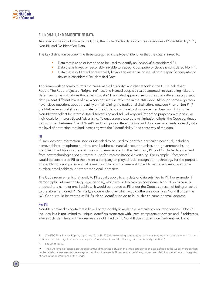

### **PII, NON-PII, AND DE-IDENTIFIED DATA**

As stated in the introduction to the Code, the Code divides data into three categories of "identifiability": PII, Non-PII, and De-Identified Data.

The key distinction between the three categories is the type of identifier that the data is linked to:

- Data that is used or intended to be used to identify an *individual* is considered PII.
- Data that is linked or reasonably linkable to a specific *computer or device* is considered Non-PII.
- Data that is not linked or reasonably linkable to either an individual or to a specific computer or device is considered De-Identified Data.

This framework generally mirrors the "reasonable linkability" analysis set forth in the FTC Final Privacy Report. The Report rejects a "bright line" test and instead adopts a scaled approach to evaluating risks and determining the obligations that attach to data.<sup>9</sup> This scaled approach recognizes that different categories of data present different levels of risk, a concept likewise reflected in the NAI Code. Although some regulators have raised questions about the utility of maintaining the traditional distinctions between PII and Non-PII,<sup>10</sup> the NAI believes that it is appropriate for the Code to continue to discourage members from linking the Non-PII they collect for Interest-Based Advertising and Ad Delivery and Reporting purposes with particular individuals for Interest-Based Advertising. To encourage these data minimization efforts, the Code continues to distinguish between PII and Non-PII and to impose different notice and choice requirements for each, with the level of protection required increasing with the "identifiability" and sensitivity of the data.<sup>11</sup>

#### **PII**

PII includes any information used or intended to be used to identify a particular individual, including name, address, telephone number, email address, financial account number, and government-issued identifier. In addition to the examples of PII enumerated in the definition, PII could include data derived from new technologies not currently in use for Interest-Based Advertising. For example, "faceprints" would be considered PII to the extent a company employed facial recognition technology for the purpose of identifying a unique individual, even if such faceprints were not linked to name, address, telephone number, email address, or other traditional identifiers.

The Code requirements that apply to PII equally apply to any data or data sets tied to PII. For example, if demographic information (e.g., age, gender), which would typically be considered Non-PII on its own, is attached to a name or email address, it would be treated as PII under the Code as a result of being attached to the aforementioned PII. Similarly, a cookie identifier which would otherwise qualify as Non-PII under the NAI Code, would be treated as PII if such an identifier is tied to PII, such as a name or email address.

#### **Non-PII**

Non-PII is defined as "data that is linked or reasonably linkable to a particular computer or device." Non-PII includes, but is not limited to, unique identifiers associated with users' computers or devices and IP addresses, where such identifiers or IP addresses are not linked to PII. Non-PII does not include De-Identified Data.

<sup>9</sup> *See* FTC Final Privacy Report, *supra* note 5, at 19-20 (acknowledging commenters' concerns that requiring the same level of protection for all data might undermine companies' incentives to avoid collecting data that is easily identified).

<sup>10</sup> *See id.* at 18-19.

<sup>11</sup> The NAI remains focused on the substantive differences between the three categories of data defined in the Code, more so than on the labels themselves. As the ecosystem evolves, however, NAI may revise the labels, names, and definitions of different categories of data in future iterations of the Code.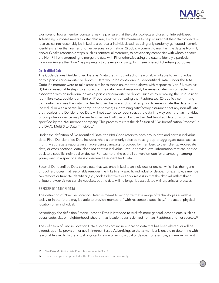

Examples of how a member company may help ensure that the data it collects and uses for Interest-Based Advertising purposes meets this standard may be to: (1) take measures to help ensure that the data it collects or receives cannot reasonably be linked to a particular individual, such as using only randomly generated numeric identifiers rather than names or other personal information; (2) publicly commit to maintain the data as Non-PII; and/or (3) take reasonable steps, such as contractual measures, to prevent any companies with whom it shares the Non-PII from attempting to merge the data with PII or otherwise using the data to identify a particular individual (unless the Non-PII is proprietary to the receiving party) for Interest-Based Advertising purposes.

### **De-Identified Data**

The Code defines De-Identified Data as "data that is not linked, or reasonably linkable to an individual or to a particular computer or device." Data would be considered "De-Identified Data" under the NAI Code if a member were to take steps similar to those enumerated above with respect to Non-PII, such as: (1) taking reasonable steps to ensure that the data cannot reasonably be re-associated or connected or associated with an individual or with a particular computer or device, such as by removing the unique user identifiers (*e.g.,* cookie identifier) or IP addresses, or truncating the IP addresses; (2) publicly committing to maintain and use the data in a de-identified fashion and not attempting to re-associate the data with an individual or with a particular computer or device; (3) obtaining satisfactory assurance that any non-affiliate that receives the De-Identified Data will not attempt to reconstruct the data in a way such that an individual or computer or device may be re-identified and will use or disclose the De-Identified Data only for uses specified by the NAI member company. This process mirrors the definition of "De-Identification Process" in the DAA's Multi-Site Data Principles.<sup>12</sup>

Under the definition of De-Identified Data, the NAI Code refers to both group data and certain individual data. First, De-Identified Data includes what is commonly referred to as group or aggregate data, such as monthly aggregate reports on an advertising campaign provided by members to their clients. Aggregate data, or cross-sectional data, does not contain individual-level or device-level information that can be tied back to a specific individual or device. For example, the overall conversion rate for a campaign among young men in a specific state is considered De-Identified Data.

Second, De-Identified Data covers data that was once linked to an individual or device, which has then gone through a process that reasonably removes the links to any specific individual or device. For example, a member can remove or truncate identifiers (e.g., cookie identifiers or IP addresses) so that the data will reflect that a unique browser visited certain websites, but the data will no longer be associated with a particular browser.

### **PRECISE LOCATION DATA**

The definition of "Precise Location Data" is meant to recognize that a range of technologies available today or in the future may be able to provide members, "with reasonable specificity," the actual physical location of an individual.

Accordingly, the definition Precise Location Data is intended to *exclude* more general location data, such as postal code, city, or neighborhood whether that location data is derived from an IP address or other sources.13

The definition of Precise Location Data also does not include location data that has been altered, or will be altered, upon its provision for use in Interest-Based Advertising, so that a member is unable to determine with reasonable specificity the actual physical location of an individual or device. For example, a member will not

<sup>12</sup> *See* DAA Multi-Site Data Principles, *supra* note 3, at 8.

<sup>13</sup> These examples are provided in this Code for illustrative purposes only.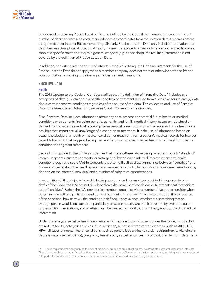

be deemed to be using Precise Location Data as defined by the Code if the member removes a sufficient number of decimals from a device's latitude/longitude coordinates from the location data it receives before using the data for Interest-Based Advertising. Similarly, Precise Location Data only includes information that describes an actual physical location. As such, if a member converts a precise location (e.g. a specific coffee shop at a specific street address) to a general category (e.g. coffee shop), the resulting information is not covered by the definition of Precise Location Data.

In addition, consistent with the scope of Interest-Based Advertising, the Code requirements for the use of Precise Location Data do not apply when a member company does not store or otherwise save the Precise Location Data after serving or delivering an advertisement in real-time.

### **SENSITIVE DATA**

#### **Health**

The 2015 Update to the Code of Conduct clarifies that the definition of "Sensitive Data" includes two categories of data: (1) data about a health condition or treatment derived from a sensitive source and (2) data about certain sensitive conditions regardless of the source of the data. The collection and use of Sensitive Data for Interest-Based Advertising requires Opt-In Consent from individuals.

First, Sensitive Data includes information about any past, present or potential future health or medical conditions or treatments, including genetic, genomic, and family medical history, based on, obtained or derived from a patient's medical records, pharmaceutical prescriptions or similar sources from a health care provider that impart actual knowledge of a condition or treatment. It is the use of information based on actual knowledge of a health or medical condition or treatment from a patient's medical records for Interest-Based Advertising that triggers the requirement for Opt-In Consent, regardless of which health or medical condition the segment references.

Second, this update to the Code also clarifies that Interest-Based Advertising (whether through "standard" interest segments, custom segments, or Retargeting) based on an inferred interest in sensitive health conditions requires a user's Opt-In Consent. It is often difficult to draw bright lines between "sensitive" and "non-sensitive" data in the health space because whether a particular condition is considered sensitive may depend on the affected individual and a number of subjective considerations.

In recognition of this subjectivity, and following questions and commentary provided in response to prior drafts of the Code, the NAI has not developed an exhaustive list of conditions or treatments that it considers to be "sensitive." Rather, the NAI provides its member companies with a number of factors to consider when determining whether a particular condition or treatment is "sensitive."14 The factors include: the seriousness of the condition, how narrowly the condition is defined, its prevalence, whether it is something that an average person would consider to be particularly private in nature, whether it is treated by over-the-counter or prescription medications, and whether it can be treated by modifications in lifestyle as opposed to medical intervention.

Under this analysis, sensitive health segments, which require Opt-In Consent under the Code, include, but are not limited to, categories such as: drug addiction, all sexually transmitted diseases (such as AIDS, HIV, HPV), all types of mental health conditions (such as generalized anxiety disorder, schizophrenia, Alzheimer's, depression, anorexia/bulimia), pregnancy termination, as well as cancer. In contrast, the NAI considers many

<sup>14</sup> These requirements apply only to the extent member companies are collecting data to associate users with presumed interests. They do not apply to members' services that do not require tagging users' browsers or devices, such as categorizing websites associated with particular conditions or treatments so that advertisers can serve contextual advertising on those sites.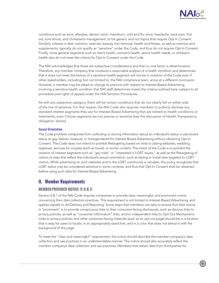

conditions such as acne, allergies, dental, vision, heartburn, cold and flu, sinus, headache, back pain, first aid, sore throat, and cholesterol management, to be generic and not topics that require Opt-In Consent. Similarly, interest in diet, nutrition, exercise, beauty, hair removal, health and fitness, as well as vitamins and supplements, typically do not qualify as "sensitive" under the Code, and thus do not require Opt-In Consent. Finally, more general segments such as men's health, women's health, senior health needs, or children's health also do not meet the criteria for Opt-In Consent under the Code.

The NAI acknowledges that these are subjective considerations and that no one factor is determinative. Therefore, any member company that conducts a reasonable analysis of a health condition and determines that it does not meet the factors of a sensitive health segment will not be in violation of the Code even if other stakeholders, including, but not limited to, the NAI compliance team, arrive at a different conclusion. However, a member may be asked to change its practice with respect to Interest-Based Advertising involving a sensitive health condition that NAI staff determines meets the criteria outlined here, subject to all procedure and rights of appeal under the NAI Sanction Procedures.

As with any subjective category, there will be certain conditions that do not clearly fall on either side of the line of sensitive. For that reason, the NAI Code also requires members to publicly disclose any standard interest segments they use for Interest-Based Advertising that are related to health conditions or treatments, even if those segments are not precise or sensitive (see the discussion of Health Transparency obligation, below).

### **Sexual Orientation**

The Code prohibits companies from collecting or storing information about an individual's status or perceived status as gay, lesbian, bisexual, or transgendered for Interest-Based Advertising without obtaining Opt-In Consent. The Code does *not* intend to prohibit Retargeting based on visits to dating websites, wedding registries, services for couples (such as travel), or similar content. The intent of the Code is to prohibit the creation of interest segments such as "gay male" or "interested in LGBT issues," as well as the Retargeting of visitors to sites that reflect the individual's sexual orientation, such as dating or travel sites targeted to LGBT visitors. While advertising on such websites and to the LGBT community is valuable, this policy recognizes that LGBT status may be considered sensitive in some contexts, and thus that Opt-In Consent shall be obtained before using such data for Interest-Based Advertising.

# **II. Member Requirements**

# **MEMBER-PROVIDED NOTICE (§ II.B.1)**

Section II.B.1 of the NAI Code requires companies to provide clear, meaningful, and prominent notice concerning their data collection practices. This requirement is not limited to Interest-Based Advertising, and applies equally to Ad Delivery and Reporting. Some steps that members can take to ensure that their notice is "prominent" is to provide conspicuous links to their consumer-facing disclosures, such as obvious links to privacy policies, as well as "consumer information" links, and/or independent links to Opt-Out Mechanisms. Links to privacy policies and other consumer-facing materials (such as an opt-out page) should be in a location that is easy for users to locate, in an appropriately sized font, and in a color that does not blend in with the background of the page.

To meet the "clear and meaningful" requirement, the notice should describe the member company's data collection and use practices in an understandable manner. The notice should also accurately reflect the member company's data collection and use practices. Members that obtain data from third parties for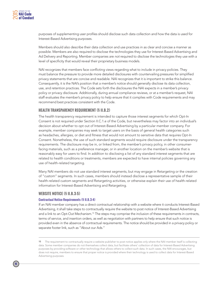purposes of supplementing user profiles should disclose such data collection and how the data is used for Interest-Based Advertising purposes.

Members should also describe their data collection and use practices in as clear and concise a manner as possible. Members are also required to disclose the technologies they use for Interest-Based Advertising and Ad Delivery and Reporting. Member companies are *not* required to disclose the technologies they use with a level of specificity that would reveal their proprietary business models.

NAI recognizes that members face conflicting views regarding what to include in privacy policies. They must balance the pressure to provide more detailed disclosures with countervailing pressures for simplified privacy statements that are concise and readable. NAI recognizes that it is important to strike this balance. Consequently, it is the NAI's position that a member's notice should generally disclose its data collection, use, and retention practices. The Code sets forth the disclosures the NAI expects in a member's privacy policy or privacy disclosure. Additionally, during annual compliance reviews, or at a member's request, NAI staff evaluates the member's privacy policy to help ensure that it complies with Code requirements and may recommend best practices consistent with the Code.

### **HEALTH TRANSPARENCY REQUIREMENT (§ II.B.2)**

The health transparency requirement is intended to capture those interest segments for which Opt-In Consent is not required under Section II.C.1.e of the Code, but nevertheless may factor into an individual's decision about whether to opt out of Interest-Based Advertising by a particular member company. For example, member companies may seek to target users on the basis of general health categories such as headaches, allergies, or diet and fitness that would not amount to sensitive data that requires Opt-In Consent. Nonetheless, the use of such standard segments would require disclosure under the transparency requirements. The disclosure may be in, or linked from, the member's privacy policy, in other consumerfacing materials, such as a preference manager, or in another location on the member's website that is reasonably easy for users to find. In addition to disclosing a list of any standard interest segments that are related to health conditions or treatments, members are expected to have internal policies governing any use of health-related targeting.

Many NAI members do not use standard interest segments, but may engage in Retargeting or the creation of "custom" segments. In such cases, members should instead disclose a representative sample of their health-related custom segments and Retargeting activities, or otherwise explain their use of health-related information for Interest-Based Advertising and Retargeting.

#### **WEBSITE NOTICE (§ II.B.3-5)**

#### **Contractual Notice Requirements (§ II.B.3-4)**

If an NAI member company has a direct contractual relationship with a website where it conducts Interest-Based Advertising, it shall take steps to contractually require the website to post notice of Interest-Based Advertising and a link to an Opt-Out Mechanism.<sup>15</sup> The steps may comprise the inclusion of these requirements in contracts, terms of service, and insertion orders, as well as negotiation with partners to help ensure that such notice is provided even in the absence of contractual requirements. The notice should be provided in a privacy policy or separate footer link, such as "About our Ads."

<sup>15</sup> The requirement to contractually require a website publisher to post notice applies only where the NAI member itself is collecting data. Some member companies do not themselves collect data, but facilitate others' collection of data for Interest-Based Advertising purposes by providing software or other technology that allows others to collect such data. In such cases, the NAI encourages, but does not require, members to ensure that proper notice is provided where their technology is used to collect data for Interest-Based Advertising purposes.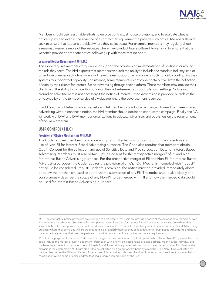

Members should use reasonable efforts to enforce contractual notice provisions, and to evaluate whether notice is provided even in the absence of a contractual requirement to provide such notice. Members should seek to ensure that notice is provided where they collect data. For example, members may regularly check a reasonably-sized sample of the websites where they conduct Interest-Based Advertising to ensure that the websites provide appropriate notice, following up with those that do not.<sup>16</sup>

#### **Enhanced Notice Requirement (§ II.B.5)**

The Code requires members to "provide, or support the provision or implementation of" notice in or around the ads they serve. The NAI expects that members who lack the ability to include the standard industry icon or other form of enhanced notice on ads will nevertheless support the provision of such notice by configuring their systems to support that capability. For instance, some members do not collect data but facilitate the collection of data by their clients for Interest-Based Advertising through their platform. These members may provide their clients with the ability to include this notice on their advertisements through platform settings. Notice in or around an advertisement is not necessary if the notice of Interest-Based Advertising is provided outside of the privacy policy or the terms of service of a webpage where the advertisement is served.

In addition, if a publisher or advertiser asks an NAI member to conduct a campaign informed by Interest-Based Advertising without enhanced notice, the NAI member should decline to conduct the campaign. Finally, the NAI will work with DAA and DAA member organizations to educate advertisers and publishers on the requirements of the DAA program.

### **USER CONTROL (§ II.C)**

### **Provision of Choice Mechanisms (§ II.C.1)**

The Code requires members to provide an Opt-Out Mechanism for opting out of the collection and use of Non-PII for Interest-Based Advertising purposes. The Code also requires that members obtain Opt-In Consent for the collection and use of Sensitive Data and Precise Location Data for Interest-Based Advertising. Members must also obtain Opt-In Consent for the retrospective merger<sup>17</sup> of PII and Non-PII for Interest-Based Advertising purposes. For the prospective merger of PII and Non-PII for Interest-Based Advertising purposes, the Code requires the provision of an Opt-Out Mechanism coupled with "robust" notice. To be considered "robust" under this provision, the notice must be provided immediately above or below the mechanism used to authorize the submission of any PII. The notice should also clearly and conspicuously describe the scope of any Non-PII to be merged with PII and how the merged data would be used for Interest-Based Advertising purposes.

<sup>16</sup> The contractual notice provisions are intended to help ensure that users are provided notice at the point of data collection, even where there is no ad served. Some member companies may collect data for Interest-Based Advertising purposes only where they serve ads. Member companies that provide in-ad notice pursuant to Section II.B.5 and only collect data for Interest-Based Advertising purposes where they serve ads will ensure that notice is provided wherever they collect data for Interest-Based Advertising, and need not contractually require their website partners to provide notice or enforce contractual notice requirements.

<sup>17</sup> For the purpose of this Code, "retrospective merger" is the combination of PII with previously collected Non-PII by a member. This could include the merger of existing segment information with a newly collected name or email address. Meaning, the individual did not have the expectation that when the individual's Non-PII was originally collected that it would later be tied to their PII. "Prospective merger" is the combination of PII with Non-PII to be collected on a going-forward basis by a member. The Non-PII was collected by the member before the PII was collected. An example of this could include the collection of potential purchase intent by a member in combination with a name or email address that had already been provided by the user.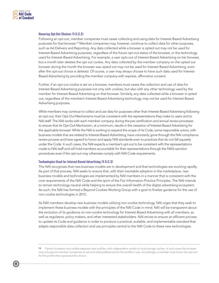

#### **Honoring Opt-Out Choices (§ II.C.2)**

Following an opt-out, member companies must cease collecting and using data for Interest-Based Advertising purposes for that browser.<sup>18</sup> Member companies may, however, continue to collect data for other purposes, such as Ad Delivery and Reporting. Any data collected while a browser is opted out may not be used for Interest-Based Advertising purposes, regardless of the future opt-out status of the browser, or the technology used for Interest-Based Advertising. For example, a user opts out of Interest-Based Advertising on her browser, but a month later deletes the opt out cookie. Any data collected by the member company on the opted out browser during the month the browser was opted out may not be used for Interest-Based Advertising, even after the opt-out choice is deleted. Of course, a user may always choose to have such data used for Interest-Based Advertising by providing the member company with express, affirmative consent.

Further, if an opt-out cookie is set on a browser, members must cease the collection and use of data for Interest-Based Advertising purposes not only with cookies, but also with any other technology used by the member for Interest-Based Advertising on that browser. Similarly, any data collected while a browser is opted out, regardless of the member's Interest-Based Advertising technology, may not be used for Interest-Based Advertising purposes.

While members may continue to collect and use data for purposes other than Interest-Based Advertising following an opt-out, their Opt-Out Mechanisms must be consistent with the representations they make to users and to NAI staff. The NAI works with each member company during the pre-certification and annual review processes to ensure that its Opt-Out Mechanism, at a minimum, results in the cessation of Interest-Based Advertising for the applicable browser. While the NAI is working to expand the scope of its Code, some responsible actors, with business models that are related to Interest-Based Advertising, have voluntarily gone through the NAI compliance review process and have agreed to honor and apply NAI standards even to practices that do not fall squarely under the Code. In such cases, the NAI expects a member's opt-out to be consistent with the representations made to NAI staff and will hold members accountable for their representations through the NAI's sanction procedures even if the opt-out may otherwise comply with NAI Code requirements.

#### **Technologies Used for Interest-Based Advertising (§ II.C.3)**

The NAI recognizes that new business models are in development and that technologies are evolving rapidly. As part of that process, NAI seeks to ensure that, with their inevitable adoption in the marketplace, new business models and technologies are implemented by NAI members in a manner that is consistent with the core requirements of the NAI Code and the spirit of the Fair Information Practice Principles. The NAI intends to remain technology-neutral while helping to ensure the overall health of the digital advertising ecosystem. As such, the NAI has formed a Beyond Cookies Working Group with a goal to finalize guidance for the use of non-cookie technologies in 2015.

As NAI members develop new business models utilizing non-cookie technology, NAI urges that they seek to implement these business models with the principles of the NAI Code in mind. NAI will be transparent about the evolution of its guidance on non-cookie technology for Interest-Based Advertising with all members, as well as regulators, policy makers, and other interested stakeholders. NAI strives to ensure an efficient process to update its Code and guidance in order to produce a practical, scalable, and implementable standard that adapts responsible data collection and use principles central to the NAI Code to these new technologies.

Certain browsers may enable separate user profiles, with independent cookie or local storage caches. In such cases the browser may only permit member companies to set and read preferences for the profile in use. Accordingly, a member must honor the opt-out for the profile that expressed the choice.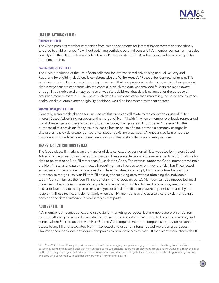

### **USE LIMITATIONS (§ II.D)**

### **Children (§ II.D.1)**

The Code prohibits member companies from creating segments for Interest-Based Advertising specifically targeted to children under 13 without obtaining verifiable parental consent. NAI member companies must also comply with the FTC's Children's Online Privacy Protection Act (COPPA) rules, as such rules may be updated from time to time.

### **Prohibited Uses (§ II.D.2)**

The NAI's prohibition of the use of data collected for Interest-Based Advertising and Ad Delivery and Reporting for eligibility decisions is consistent with the White House's "Respect for Context" principle. This principle states that consumers have a right to expect that companies will collect, use, and disclose personal data in ways that are consistent with the context in which the data was provided.<sup>19</sup> Users are made aware, through in-ad notice and privacy policies of website publishers, that data is collected for the purpose of providing more relevant ads. The use of such data for purposes other than marketing, including any insurance, health, credit, or employment eligibility decisions, would be inconsistent with that context.

### **Material Changes (§ II.D.3)**

Generally, a "material" change for purposes of this provision will relate to the collection or use of PII for Interest-Based Advertising purposes or the merger of Non-PII with PII when a member previously represented that it does engage in these activities. Under the Code, changes are not considered "material" for the purposes of this provision if they result in less collection or use of data, or when a company changes its disclosures to provide greater transparency about its existing practices. NAI encourages its members to innovate and provide increased transparency around their data collection and use practices.

### **TRANSFER RESTRICTIONS (§ II.E)**

The Code places limitations on the transfer of data collected across non-affiliate websites for Interest-Based Advertising purposes to unaffiliated third parties. These are extensions of the requirements set forth above for data to be treated as Non-PII rather than PII under the Code. For instance, under the Code, members maintain the Non-PII status of data by contractually requiring that all parties to whom they provide Non-PII collected across web domains owned or operated by different entities not attempt, for Interest-Based Advertising purposes, to merge such Non-PII with PII held by the receiving party without obtaining the individual's Opt-In Consent (unless the Non-PII is proprietary to the receiving party). Members can also impose technical measures to help prevent the receiving party from engaging in such activities. For example, members that pass user-level data to third parties may encrypt potential identifiers to prevent impermissible uses by the recipients. These restrictions do not apply when the NAI member is acting as a service provider for a single party and the data transferred is proprietary to that party.

### **ACCESS (§ II.F.1)**

NAI member companies collect and use data for marketing purposes. But members are prohibited from using, or allowing to be used, the data they collect for any eligibility decisions. To foster transparency and control where PII is associated with Non-PII, the Code requires member companies to provide reasonable access to any PII and associated Non-PII collected and used for Interest-Based Advertising purposes. However, the Code does *not* require companies to provide access to Non-PII that is not associated with PII.

<sup>19</sup> *See* White House Privacy Report, *supra* note 5, at 18 (encouraging companies engaged in online advertising to refrain from collecting, using, or disclosing data that may be used to make decisions regarding employment, credit, and insurance eligibility or similar matters that may have significant adverse consequences to consumers and noting that such uses are at odds with generating revenue and providing consumers with ads that they are more likely to find relevant).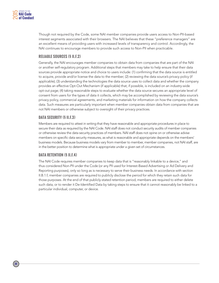

Though not required by the Code, some NAI member companies provide users access to Non-PII-based interest segments associated with their browsers. The NAI believes that these "preference managers" are an excellent means of providing users with increased levels of transparency and control. Accordingly, the NAI continues to encourage members to provide such access to Non-PII when practicable.

# **RELIABLE SOURCES (§ II.F.2)**

Generally, the NAI encourages member companies to obtain data from companies that are part of the NAI or another self-regulatory program. Additional steps that members may take to help ensure that their data sources provide appropriate notice and choice to users include: (1) confirming that the data source is entitled to acquire, provide and/or license the data to the member; (2) reviewing the data source's privacy policy (if applicable); (3) understanding the technologies the data source uses to collect data and whether the company provides an effective Opt-Out Mechanism (if applicable) that, if possible, is included on an industry-wide opt-out page; (4) taking reasonable steps to evaluate whether the data source secures an appropriate level of consent from users for the types of data it collects, which may be accomplished by reviewing the data source's privacy policy, commercial agreements, and marketing materials for information on how the company collects data. Such measures are particularly important when member companies obtain data from companies that are not NAI members or otherwise subject to oversight of their privacy practices.

# **DATA SECURITY (§ II.F.3)**

Members are required to attest in writing that they have reasonable and appropriate procedures in place to secure their data as required by the NAI Code. NAI staff does not conduct security audits of member companies or otherwise review the data security practices of members. NAI staff does not opine on or otherwise advise members on specific data security measures, as what is reasonable and appropriate depends on the members' business models. Because business models vary from member to member, member companies, not NAI staff, are in the better position to determine what is appropriate under a given set of circumstances.

# **DATA RETENTION (§ II.F.4)**

The NAI Code requires member companies to keep data that is "reasonably linkable to a device," and thus considered Non-PII under the Code (or any PII used for Interest-Based Advertising or Ad Delivery and Reporting purposes), only so long as is necessary to serve their business needs. In accordance with section II.B.1.f, member companies are required to publicly disclose the period for which they retain such data for those purposes. At the end of that publicly-stated retention period, members are required to either delete such data, or to render it De-Identified Data by taking steps to ensure that it cannot reasonably be linked to a particular individual, computer, or device.